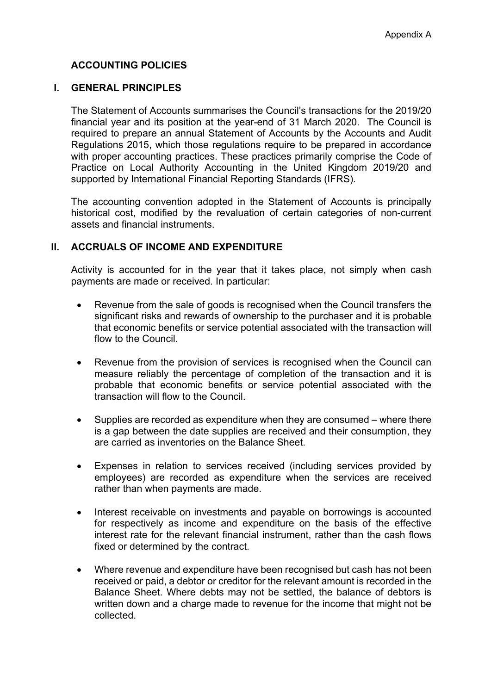# **ACCOUNTING POLICIES**

## **I. GENERAL PRINCIPLES**

The Statement of Accounts summarises the Council's transactions for the 2019/20 financial year and its position at the year-end of 31 March 2020. The Council is required to prepare an annual Statement of Accounts by the Accounts and Audit Regulations 2015, which those regulations require to be prepared in accordance with proper accounting practices. These practices primarily comprise the Code of Practice on Local Authority Accounting in the United Kingdom 2019/20 and supported by International Financial Reporting Standards (IFRS).

The accounting convention adopted in the Statement of Accounts is principally historical cost, modified by the revaluation of certain categories of non-current assets and financial instruments.

## **II. ACCRUALS OF INCOME AND EXPENDITURE**

Activity is accounted for in the year that it takes place, not simply when cash payments are made or received. In particular:

- Revenue from the sale of goods is recognised when the Council transfers the significant risks and rewards of ownership to the purchaser and it is probable that economic benefits or service potential associated with the transaction will flow to the Council.
- Revenue from the provision of services is recognised when the Council can measure reliably the percentage of completion of the transaction and it is probable that economic benefits or service potential associated with the transaction will flow to the Council.
- Supplies are recorded as expenditure when they are consumed where there is a gap between the date supplies are received and their consumption, they are carried as inventories on the Balance Sheet.
- Expenses in relation to services received (including services provided by employees) are recorded as expenditure when the services are received rather than when payments are made.
- Interest receivable on investments and payable on borrowings is accounted for respectively as income and expenditure on the basis of the effective interest rate for the relevant financial instrument, rather than the cash flows fixed or determined by the contract.
- Where revenue and expenditure have been recognised but cash has not been received or paid, a debtor or creditor for the relevant amount is recorded in the Balance Sheet. Where debts may not be settled, the balance of debtors is written down and a charge made to revenue for the income that might not be collected.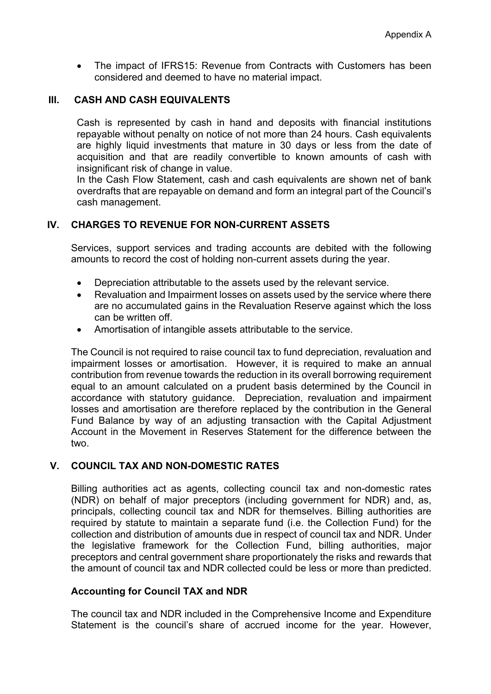• The impact of IFRS15: Revenue from Contracts with Customers has been considered and deemed to have no material impact.

### **III. CASH AND CASH EQUIVALENTS**

Cash is represented by cash in hand and deposits with financial institutions repayable without penalty on notice of not more than 24 hours. Cash equivalents are highly liquid investments that mature in 30 days or less from the date of acquisition and that are readily convertible to known amounts of cash with insignificant risk of change in value.

In the Cash Flow Statement, cash and cash equivalents are shown net of bank overdrafts that are repayable on demand and form an integral part of the Council's cash management.

## **IV. CHARGES TO REVENUE FOR NON-CURRENT ASSETS**

Services, support services and trading accounts are debited with the following amounts to record the cost of holding non-current assets during the year.

- Depreciation attributable to the assets used by the relevant service.
- Revaluation and Impairment losses on assets used by the service where there are no accumulated gains in the Revaluation Reserve against which the loss can be written off.
- Amortisation of intangible assets attributable to the service.

The Council is not required to raise council tax to fund depreciation, revaluation and impairment losses or amortisation. However, it is required to make an annual contribution from revenue towards the reduction in its overall borrowing requirement equal to an amount calculated on a prudent basis determined by the Council in accordance with statutory guidance. Depreciation, revaluation and impairment losses and amortisation are therefore replaced by the contribution in the General Fund Balance by way of an adjusting transaction with the Capital Adjustment Account in the Movement in Reserves Statement for the difference between the two.

# **V. COUNCIL TAX AND NON-DOMESTIC RATES**

Billing authorities act as agents, collecting council tax and non-domestic rates (NDR) on behalf of major preceptors (including government for NDR) and, as, principals, collecting council tax and NDR for themselves. Billing authorities are required by statute to maintain a separate fund (i.e. the Collection Fund) for the collection and distribution of amounts due in respect of council tax and NDR. Under the legislative framework for the Collection Fund, billing authorities, major preceptors and central government share proportionately the risks and rewards that the amount of council tax and NDR collected could be less or more than predicted.

## **Accounting for Council TAX and NDR**

The council tax and NDR included in the Comprehensive Income and Expenditure Statement is the council's share of accrued income for the year. However,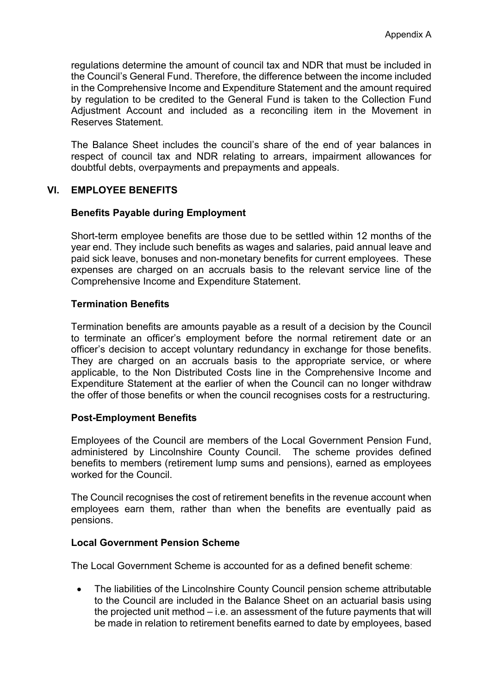regulations determine the amount of council tax and NDR that must be included in the Council's General Fund. Therefore, the difference between the income included in the Comprehensive Income and Expenditure Statement and the amount required by regulation to be credited to the General Fund is taken to the Collection Fund Adjustment Account and included as a reconciling item in the Movement in Reserves Statement.

The Balance Sheet includes the council's share of the end of year balances in respect of council tax and NDR relating to arrears, impairment allowances for doubtful debts, overpayments and prepayments and appeals.

## **VI. EMPLOYEE BENEFITS**

### **Benefits Payable during Employment**

Short-term employee benefits are those due to be settled within 12 months of the year end. They include such benefits as wages and salaries, paid annual leave and paid sick leave, bonuses and non-monetary benefits for current employees. These expenses are charged on an accruals basis to the relevant service line of the Comprehensive Income and Expenditure Statement.

### **Termination Benefits**

Termination benefits are amounts payable as a result of a decision by the Council to terminate an officer's employment before the normal retirement date or an officer's decision to accept voluntary redundancy in exchange for those benefits. They are charged on an accruals basis to the appropriate service, or where applicable, to the Non Distributed Costs line in the Comprehensive Income and Expenditure Statement at the earlier of when the Council can no longer withdraw the offer of those benefits or when the council recognises costs for a restructuring.

## **Post-Employment Benefits**

Employees of the Council are members of the Local Government Pension Fund, administered by Lincolnshire County Council. The scheme provides defined benefits to members (retirement lump sums and pensions), earned as employees worked for the Council.

The Council recognises the cost of retirement benefits in the revenue account when employees earn them, rather than when the benefits are eventually paid as pensions.

#### **Local Government Pension Scheme**

The Local Government Scheme is accounted for as a defined benefit scheme:

 The liabilities of the Lincolnshire County Council pension scheme attributable to the Council are included in the Balance Sheet on an actuarial basis using the projected unit method – i.e. an assessment of the future payments that will be made in relation to retirement benefits earned to date by employees, based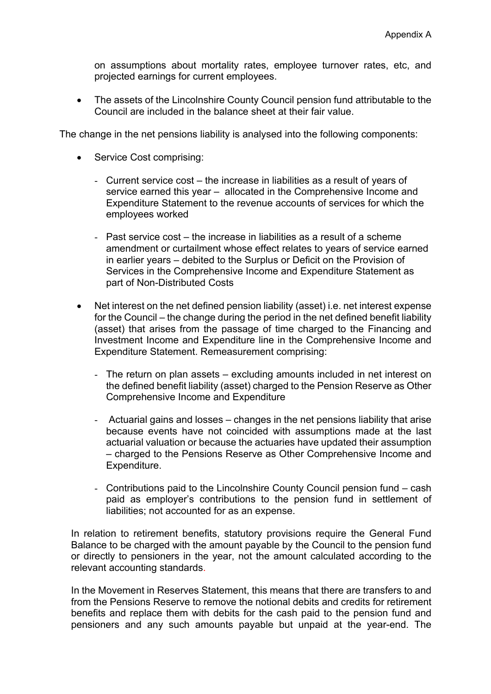on assumptions about mortality rates, employee turnover rates, etc, and projected earnings for current employees.

• The assets of the Lincolnshire County Council pension fund attributable to the Council are included in the balance sheet at their fair value.

The change in the net pensions liability is analysed into the following components:

- Service Cost comprising:
	- Current service cost the increase in liabilities as a result of years of service earned this year – allocated in the Comprehensive Income and Expenditure Statement to the revenue accounts of services for which the employees worked
	- Past service cost the increase in liabilities as a result of a scheme amendment or curtailment whose effect relates to years of service earned in earlier years – debited to the Surplus or Deficit on the Provision of Services in the Comprehensive Income and Expenditure Statement as part of Non-Distributed Costs
- Net interest on the net defined pension liability (asset) i.e. net interest expense for the Council – the change during the period in the net defined benefit liability (asset) that arises from the passage of time charged to the Financing and Investment Income and Expenditure line in the Comprehensive Income and Expenditure Statement. Remeasurement comprising:
	- The return on plan assets excluding amounts included in net interest on the defined benefit liability (asset) charged to the Pension Reserve as Other Comprehensive Income and Expenditure
	- Actuarial gains and losses changes in the net pensions liability that arise because events have not coincided with assumptions made at the last actuarial valuation or because the actuaries have updated their assumption – charged to the Pensions Reserve as Other Comprehensive Income and Expenditure.
	- Contributions paid to the Lincolnshire County Council pension fund cash paid as employer's contributions to the pension fund in settlement of liabilities; not accounted for as an expense.

In relation to retirement benefits, statutory provisions require the General Fund Balance to be charged with the amount payable by the Council to the pension fund or directly to pensioners in the year, not the amount calculated according to the relevant accounting standards.

In the Movement in Reserves Statement, this means that there are transfers to and from the Pensions Reserve to remove the notional debits and credits for retirement benefits and replace them with debits for the cash paid to the pension fund and pensioners and any such amounts payable but unpaid at the year-end. The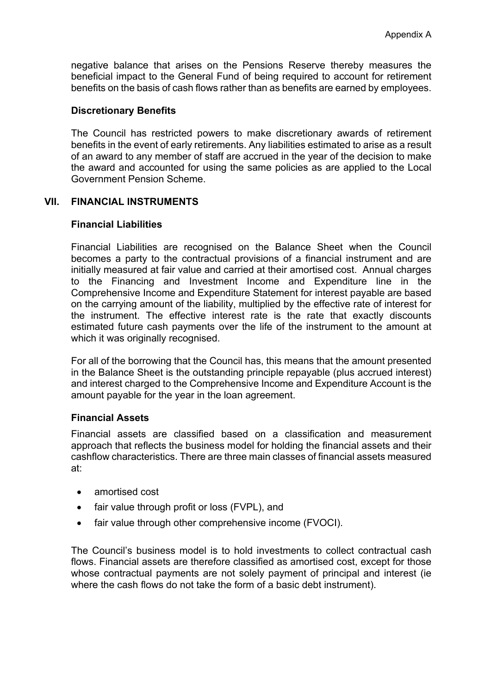negative balance that arises on the Pensions Reserve thereby measures the beneficial impact to the General Fund of being required to account for retirement benefits on the basis of cash flows rather than as benefits are earned by employees.

### **Discretionary Benefits**

The Council has restricted powers to make discretionary awards of retirement benefits in the event of early retirements. Any liabilities estimated to arise as a result of an award to any member of staff are accrued in the year of the decision to make the award and accounted for using the same policies as are applied to the Local Government Pension Scheme.

### **VII. FINANCIAL INSTRUMENTS**

### **Financial Liabilities**

Financial Liabilities are recognised on the Balance Sheet when the Council becomes a party to the contractual provisions of a financial instrument and are initially measured at fair value and carried at their amortised cost. Annual charges to the Financing and Investment Income and Expenditure line in the Comprehensive Income and Expenditure Statement for interest payable are based on the carrying amount of the liability, multiplied by the effective rate of interest for the instrument. The effective interest rate is the rate that exactly discounts estimated future cash payments over the life of the instrument to the amount at which it was originally recognised.

For all of the borrowing that the Council has, this means that the amount presented in the Balance Sheet is the outstanding principle repayable (plus accrued interest) and interest charged to the Comprehensive Income and Expenditure Account is the amount payable for the year in the loan agreement.

## **Financial Assets**

Financial assets are classified based on a classification and measurement approach that reflects the business model for holding the financial assets and their cashflow characteristics. There are three main classes of financial assets measured at:

- amortised cost
- fair value through profit or loss (FVPL), and
- fair value through other comprehensive income (FVOCI).

The Council's business model is to hold investments to collect contractual cash flows. Financial assets are therefore classified as amortised cost, except for those whose contractual payments are not solely payment of principal and interest (ie where the cash flows do not take the form of a basic debt instrument).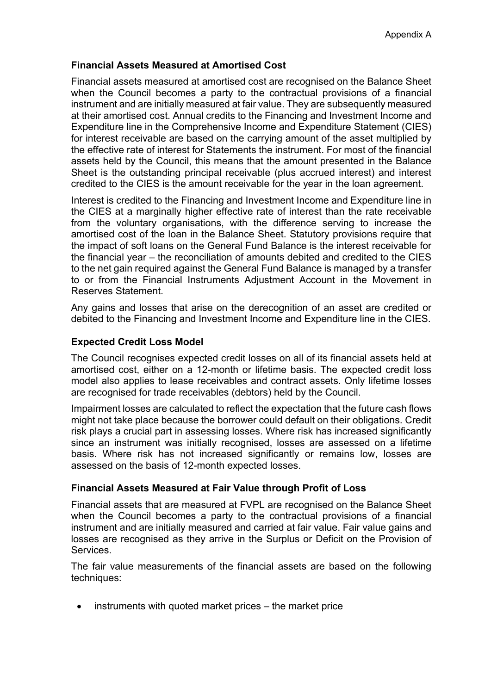# **Financial Assets Measured at Amortised Cost**

Financial assets measured at amortised cost are recognised on the Balance Sheet when the Council becomes a party to the contractual provisions of a financial instrument and are initially measured at fair value. They are subsequently measured at their amortised cost. Annual credits to the Financing and Investment Income and Expenditure line in the Comprehensive Income and Expenditure Statement (CIES) for interest receivable are based on the carrying amount of the asset multiplied by the effective rate of interest for Statements the instrument. For most of the financial assets held by the Council, this means that the amount presented in the Balance Sheet is the outstanding principal receivable (plus accrued interest) and interest credited to the CIES is the amount receivable for the year in the loan agreement.

Interest is credited to the Financing and Investment Income and Expenditure line in the CIES at a marginally higher effective rate of interest than the rate receivable from the voluntary organisations, with the difference serving to increase the amortised cost of the loan in the Balance Sheet. Statutory provisions require that the impact of soft loans on the General Fund Balance is the interest receivable for the financial year – the reconciliation of amounts debited and credited to the CIES to the net gain required against the General Fund Balance is managed by a transfer to or from the Financial Instruments Adjustment Account in the Movement in Reserves Statement.

Any gains and losses that arise on the derecognition of an asset are credited or debited to the Financing and Investment Income and Expenditure line in the CIES.

# **Expected Credit Loss Model**

The Council recognises expected credit losses on all of its financial assets held at amortised cost, either on a 12-month or lifetime basis. The expected credit loss model also applies to lease receivables and contract assets. Only lifetime losses are recognised for trade receivables (debtors) held by the Council.

Impairment losses are calculated to reflect the expectation that the future cash flows might not take place because the borrower could default on their obligations. Credit risk plays a crucial part in assessing losses. Where risk has increased significantly since an instrument was initially recognised, losses are assessed on a lifetime basis. Where risk has not increased significantly or remains low, losses are assessed on the basis of 12-month expected losses.

## **Financial Assets Measured at Fair Value through Profit of Loss**

Financial assets that are measured at FVPL are recognised on the Balance Sheet when the Council becomes a party to the contractual provisions of a financial instrument and are initially measured and carried at fair value. Fair value gains and losses are recognised as they arrive in the Surplus or Deficit on the Provision of Services.

The fair value measurements of the financial assets are based on the following techniques:

instruments with quoted market prices – the market price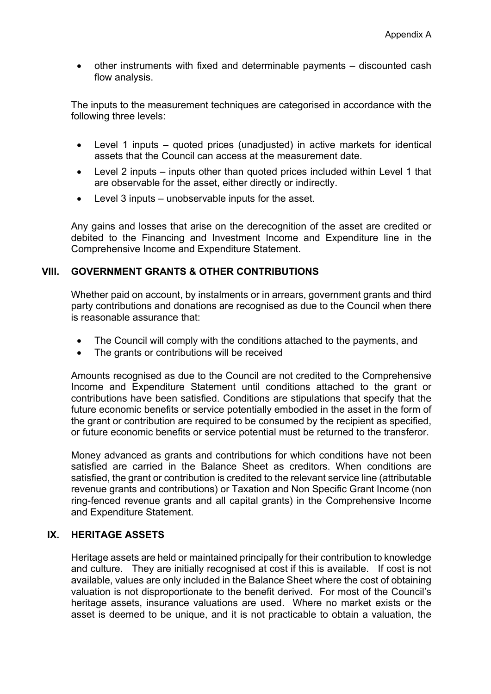other instruments with fixed and determinable payments – discounted cash flow analysis.

The inputs to the measurement techniques are categorised in accordance with the following three levels:

- Level 1 inputs quoted prices (unadjusted) in active markets for identical assets that the Council can access at the measurement date.
- Level 2 inputs inputs other than quoted prices included within Level 1 that are observable for the asset, either directly or indirectly.
- Level 3 inputs unobservable inputs for the asset.

Any gains and losses that arise on the derecognition of the asset are credited or debited to the Financing and Investment Income and Expenditure line in the Comprehensive Income and Expenditure Statement.

## **VIII. GOVERNMENT GRANTS & OTHER CONTRIBUTIONS**

Whether paid on account, by instalments or in arrears, government grants and third party contributions and donations are recognised as due to the Council when there is reasonable assurance that:

- The Council will comply with the conditions attached to the payments, and
- The grants or contributions will be received

Amounts recognised as due to the Council are not credited to the Comprehensive Income and Expenditure Statement until conditions attached to the grant or contributions have been satisfied. Conditions are stipulations that specify that the future economic benefits or service potentially embodied in the asset in the form of the grant or contribution are required to be consumed by the recipient as specified, or future economic benefits or service potential must be returned to the transferor.

Money advanced as grants and contributions for which conditions have not been satisfied are carried in the Balance Sheet as creditors. When conditions are satisfied, the grant or contribution is credited to the relevant service line (attributable revenue grants and contributions) or Taxation and Non Specific Grant Income (non ring-fenced revenue grants and all capital grants) in the Comprehensive Income and Expenditure Statement.

## **IX. HERITAGE ASSETS**

Heritage assets are held or maintained principally for their contribution to knowledge and culture. They are initially recognised at cost if this is available. If cost is not available, values are only included in the Balance Sheet where the cost of obtaining valuation is not disproportionate to the benefit derived. For most of the Council's heritage assets, insurance valuations are used. Where no market exists or the asset is deemed to be unique, and it is not practicable to obtain a valuation, the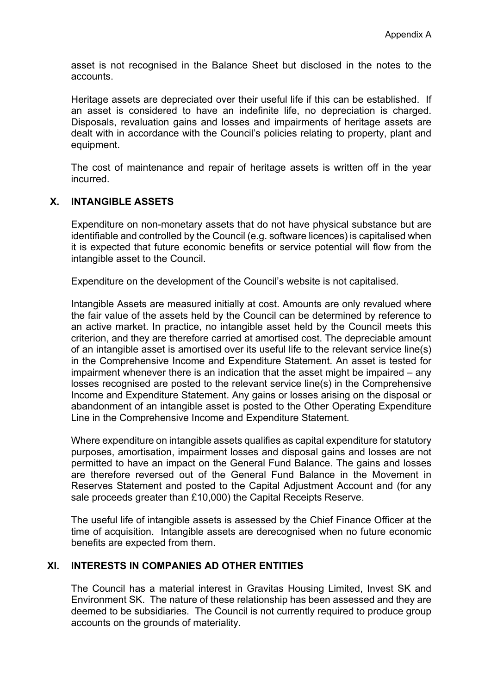asset is not recognised in the Balance Sheet but disclosed in the notes to the accounts.

Heritage assets are depreciated over their useful life if this can be established. If an asset is considered to have an indefinite life, no depreciation is charged. Disposals, revaluation gains and losses and impairments of heritage assets are dealt with in accordance with the Council's policies relating to property, plant and equipment.

The cost of maintenance and repair of heritage assets is written off in the year incurred.

### **X. INTANGIBLE ASSETS**

Expenditure on non-monetary assets that do not have physical substance but are identifiable and controlled by the Council (e.g. software licences) is capitalised when it is expected that future economic benefits or service potential will flow from the intangible asset to the Council.

Expenditure on the development of the Council's website is not capitalised.

Intangible Assets are measured initially at cost. Amounts are only revalued where the fair value of the assets held by the Council can be determined by reference to an active market. In practice, no intangible asset held by the Council meets this criterion, and they are therefore carried at amortised cost. The depreciable amount of an intangible asset is amortised over its useful life to the relevant service line(s) in the Comprehensive Income and Expenditure Statement. An asset is tested for impairment whenever there is an indication that the asset might be impaired – any losses recognised are posted to the relevant service line(s) in the Comprehensive Income and Expenditure Statement. Any gains or losses arising on the disposal or abandonment of an intangible asset is posted to the Other Operating Expenditure Line in the Comprehensive Income and Expenditure Statement.

Where expenditure on intangible assets qualifies as capital expenditure for statutory purposes, amortisation, impairment losses and disposal gains and losses are not permitted to have an impact on the General Fund Balance. The gains and losses are therefore reversed out of the General Fund Balance in the Movement in Reserves Statement and posted to the Capital Adjustment Account and (for any sale proceeds greater than £10,000) the Capital Receipts Reserve.

The useful life of intangible assets is assessed by the Chief Finance Officer at the time of acquisition. Intangible assets are derecognised when no future economic benefits are expected from them.

# **XI. INTERESTS IN COMPANIES AD OTHER ENTITIES**

The Council has a material interest in Gravitas Housing Limited, Invest SK and Environment SK. The nature of these relationship has been assessed and they are deemed to be subsidiaries. The Council is not currently required to produce group accounts on the grounds of materiality.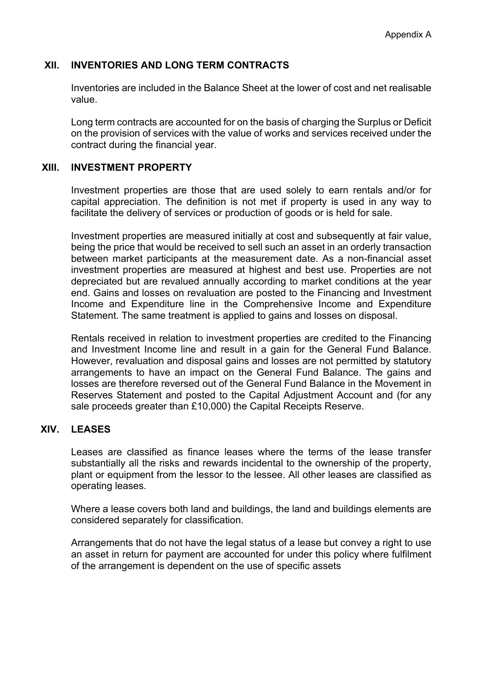## **XII. INVENTORIES AND LONG TERM CONTRACTS**

Inventories are included in the Balance Sheet at the lower of cost and net realisable value.

Long term contracts are accounted for on the basis of charging the Surplus or Deficit on the provision of services with the value of works and services received under the contract during the financial year.

## **XIII. INVESTMENT PROPERTY**

Investment properties are those that are used solely to earn rentals and/or for capital appreciation. The definition is not met if property is used in any way to facilitate the delivery of services or production of goods or is held for sale.

Investment properties are measured initially at cost and subsequently at fair value, being the price that would be received to sell such an asset in an orderly transaction between market participants at the measurement date. As a non-financial asset investment properties are measured at highest and best use. Properties are not depreciated but are revalued annually according to market conditions at the year end. Gains and losses on revaluation are posted to the Financing and Investment Income and Expenditure line in the Comprehensive Income and Expenditure Statement. The same treatment is applied to gains and losses on disposal.

Rentals received in relation to investment properties are credited to the Financing and Investment Income line and result in a gain for the General Fund Balance. However, revaluation and disposal gains and losses are not permitted by statutory arrangements to have an impact on the General Fund Balance. The gains and losses are therefore reversed out of the General Fund Balance in the Movement in Reserves Statement and posted to the Capital Adjustment Account and (for any sale proceeds greater than £10,000) the Capital Receipts Reserve.

# **XIV. LEASES**

Leases are classified as finance leases where the terms of the lease transfer substantially all the risks and rewards incidental to the ownership of the property, plant or equipment from the lessor to the lessee. All other leases are classified as operating leases.

Where a lease covers both land and buildings, the land and buildings elements are considered separately for classification.

Arrangements that do not have the legal status of a lease but convey a right to use an asset in return for payment are accounted for under this policy where fulfilment of the arrangement is dependent on the use of specific assets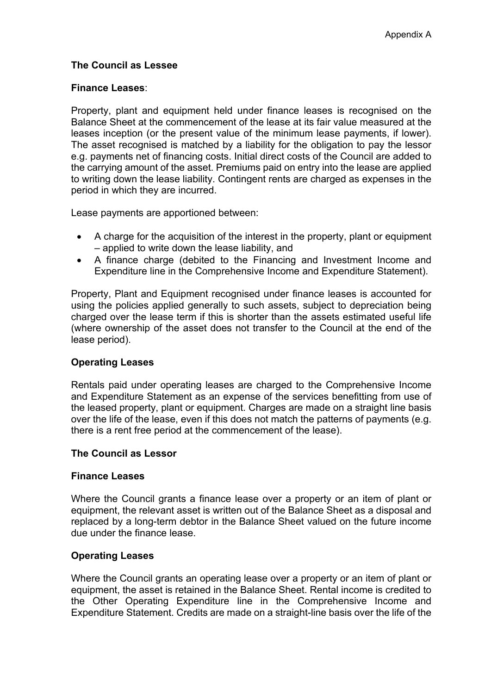# **The Council as Lessee**

### **Finance Leases**:

Property, plant and equipment held under finance leases is recognised on the Balance Sheet at the commencement of the lease at its fair value measured at the leases inception (or the present value of the minimum lease payments, if lower). The asset recognised is matched by a liability for the obligation to pay the lessor e.g. payments net of financing costs. Initial direct costs of the Council are added to the carrying amount of the asset. Premiums paid on entry into the lease are applied to writing down the lease liability. Contingent rents are charged as expenses in the period in which they are incurred.

Lease payments are apportioned between:

- A charge for the acquisition of the interest in the property, plant or equipment – applied to write down the lease liability, and
- A finance charge (debited to the Financing and Investment Income and Expenditure line in the Comprehensive Income and Expenditure Statement).

Property, Plant and Equipment recognised under finance leases is accounted for using the policies applied generally to such assets, subject to depreciation being charged over the lease term if this is shorter than the assets estimated useful life (where ownership of the asset does not transfer to the Council at the end of the lease period).

## **Operating Leases**

Rentals paid under operating leases are charged to the Comprehensive Income and Expenditure Statement as an expense of the services benefitting from use of the leased property, plant or equipment. Charges are made on a straight line basis over the life of the lease, even if this does not match the patterns of payments (e.g. there is a rent free period at the commencement of the lease).

#### **The Council as Lessor**

#### **Finance Leases**

Where the Council grants a finance lease over a property or an item of plant or equipment, the relevant asset is written out of the Balance Sheet as a disposal and replaced by a long-term debtor in the Balance Sheet valued on the future income due under the finance lease.

## **Operating Leases**

Where the Council grants an operating lease over a property or an item of plant or equipment, the asset is retained in the Balance Sheet. Rental income is credited to the Other Operating Expenditure line in the Comprehensive Income and Expenditure Statement. Credits are made on a straight-line basis over the life of the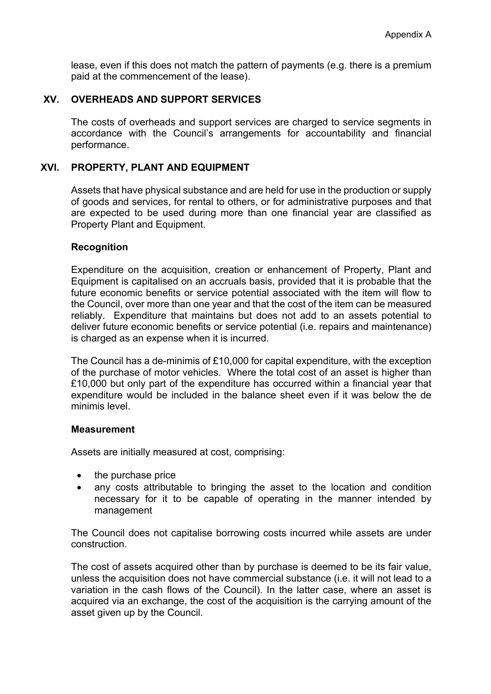lease, even if this does not match the pattern of payments (e.g. there is a premium paid at the commencement of the lease).

## **XV. OVERHEADS AND SUPPORT SERVICES**

The costs of overheads and support services are charged to service segments in accordance with the Council's arrangements for accountability and financial performance.

# **XVI. PROPERTY, PLANT AND EQUIPMENT**

Assets that have physical substance and are held for use in the production or supply of goods and services, for rental to others, or for administrative purposes and that are expected to be used during more than one financial year are classified as Property Plant and Equipment.

### **Recognition**

Expenditure on the acquisition, creation or enhancement of Property, Plant and Equipment is capitalised on an accruals basis, provided that it is probable that the future economic benefits or service potential associated with the item will flow to the Council, over more than one year and that the cost of the item can be measured reliably. Expenditure that maintains but does not add to an assets potential to deliver future economic benefits or service potential (i.e. repairs and maintenance) is charged as an expense when it is incurred.

The Council has a de-minimis of £10,000 for capital expenditure, with the exception of the purchase of motor vehicles. Where the total cost of an asset is higher than £10,000 but only part of the expenditure has occurred within a financial year that expenditure would be included in the balance sheet even if it was below the de minimis level.

#### **Measurement**

Assets are initially measured at cost, comprising:

- the purchase price
- any costs attributable to bringing the asset to the location and condition necessary for it to be capable of operating in the manner intended by management

The Council does not capitalise borrowing costs incurred while assets are under construction.

The cost of assets acquired other than by purchase is deemed to be its fair value, unless the acquisition does not have commercial substance (i.e. it will not lead to a variation in the cash flows of the Council). In the latter case, where an asset is acquired via an exchange, the cost of the acquisition is the carrying amount of the asset given up by the Council.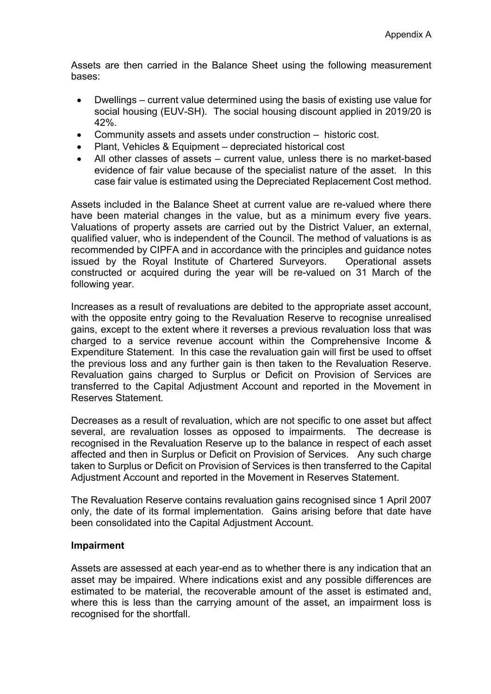Assets are then carried in the Balance Sheet using the following measurement bases:

- Dwellings current value determined using the basis of existing use value for social housing (EUV-SH). The social housing discount applied in 2019/20 is 42%.
- Community assets and assets under construction historic cost.
- Plant, Vehicles & Equipment depreciated historical cost
- All other classes of assets current value, unless there is no market-based evidence of fair value because of the specialist nature of the asset. In this case fair value is estimated using the Depreciated Replacement Cost method.

Assets included in the Balance Sheet at current value are re-valued where there have been material changes in the value, but as a minimum every five years. Valuations of property assets are carried out by the District Valuer, an external, qualified valuer, who is independent of the Council. The method of valuations is as recommended by CIPFA and in accordance with the principles and guidance notes issued by the Royal Institute of Chartered Surveyors. Operational assets constructed or acquired during the year will be re-valued on 31 March of the following year.

Increases as a result of revaluations are debited to the appropriate asset account, with the opposite entry going to the Revaluation Reserve to recognise unrealised gains, except to the extent where it reverses a previous revaluation loss that was charged to a service revenue account within the Comprehensive Income & Expenditure Statement. In this case the revaluation gain will first be used to offset the previous loss and any further gain is then taken to the Revaluation Reserve. Revaluation gains charged to Surplus or Deficit on Provision of Services are transferred to the Capital Adjustment Account and reported in the Movement in Reserves Statement.

Decreases as a result of revaluation, which are not specific to one asset but affect several, are revaluation losses as opposed to impairments. The decrease is recognised in the Revaluation Reserve up to the balance in respect of each asset affected and then in Surplus or Deficit on Provision of Services. Any such charge taken to Surplus or Deficit on Provision of Services is then transferred to the Capital Adjustment Account and reported in the Movement in Reserves Statement.

The Revaluation Reserve contains revaluation gains recognised since 1 April 2007 only, the date of its formal implementation. Gains arising before that date have been consolidated into the Capital Adjustment Account.

## **Impairment**

Assets are assessed at each year-end as to whether there is any indication that an asset may be impaired. Where indications exist and any possible differences are estimated to be material, the recoverable amount of the asset is estimated and, where this is less than the carrying amount of the asset, an impairment loss is recognised for the shortfall.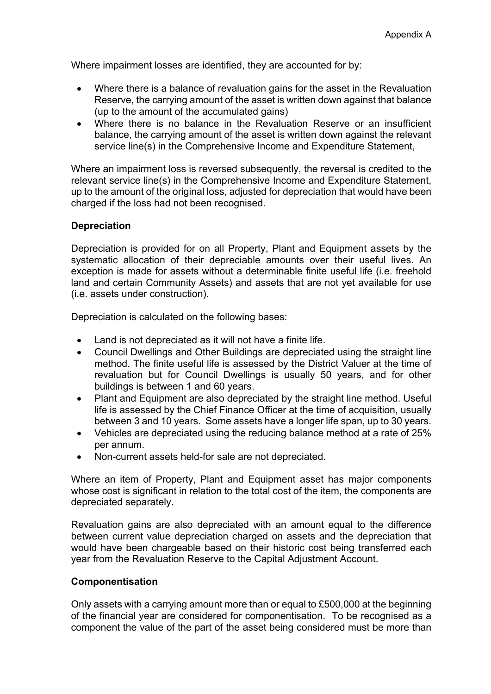Where impairment losses are identified, they are accounted for by:

- Where there is a balance of revaluation gains for the asset in the Revaluation Reserve, the carrying amount of the asset is written down against that balance (up to the amount of the accumulated gains)
- Where there is no balance in the Revaluation Reserve or an insufficient balance, the carrying amount of the asset is written down against the relevant service line(s) in the Comprehensive Income and Expenditure Statement,

Where an impairment loss is reversed subsequently, the reversal is credited to the relevant service line(s) in the Comprehensive Income and Expenditure Statement, up to the amount of the original loss, adjusted for depreciation that would have been charged if the loss had not been recognised.

# **Depreciation**

Depreciation is provided for on all Property, Plant and Equipment assets by the systematic allocation of their depreciable amounts over their useful lives. An exception is made for assets without a determinable finite useful life (i.e. freehold land and certain Community Assets) and assets that are not yet available for use (i.e. assets under construction).

Depreciation is calculated on the following bases:

- Land is not depreciated as it will not have a finite life.
- Council Dwellings and Other Buildings are depreciated using the straight line method. The finite useful life is assessed by the District Valuer at the time of revaluation but for Council Dwellings is usually 50 years, and for other buildings is between 1 and 60 years.
- Plant and Equipment are also depreciated by the straight line method. Useful life is assessed by the Chief Finance Officer at the time of acquisition, usually between 3 and 10 years. Some assets have a longer life span, up to 30 years.
- Vehicles are depreciated using the reducing balance method at a rate of 25% per annum.
- Non-current assets held-for sale are not depreciated.

Where an item of Property, Plant and Equipment asset has major components whose cost is significant in relation to the total cost of the item, the components are depreciated separately.

Revaluation gains are also depreciated with an amount equal to the difference between current value depreciation charged on assets and the depreciation that would have been chargeable based on their historic cost being transferred each year from the Revaluation Reserve to the Capital Adjustment Account.

#### **Componentisation**

Only assets with a carrying amount more than or equal to £500,000 at the beginning of the financial year are considered for componentisation. To be recognised as a component the value of the part of the asset being considered must be more than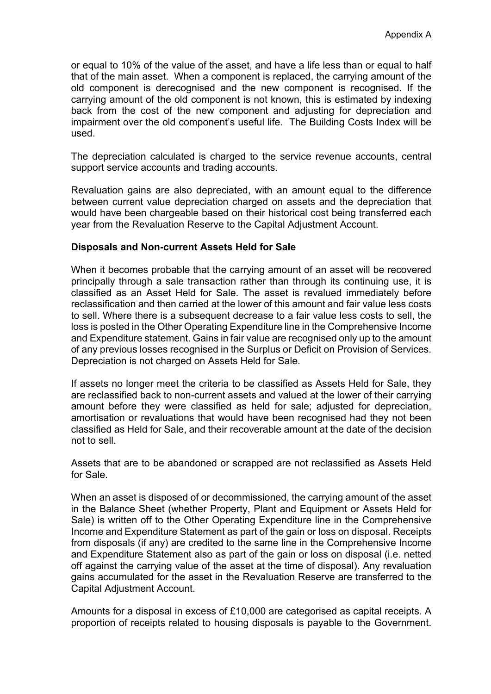or equal to 10% of the value of the asset, and have a life less than or equal to half that of the main asset. When a component is replaced, the carrying amount of the old component is derecognised and the new component is recognised. If the carrying amount of the old component is not known, this is estimated by indexing back from the cost of the new component and adjusting for depreciation and impairment over the old component's useful life. The Building Costs Index will be used.

The depreciation calculated is charged to the service revenue accounts, central support service accounts and trading accounts.

Revaluation gains are also depreciated, with an amount equal to the difference between current value depreciation charged on assets and the depreciation that would have been chargeable based on their historical cost being transferred each year from the Revaluation Reserve to the Capital Adjustment Account.

### **Disposals and Non-current Assets Held for Sale**

When it becomes probable that the carrying amount of an asset will be recovered principally through a sale transaction rather than through its continuing use, it is classified as an Asset Held for Sale. The asset is revalued immediately before reclassification and then carried at the lower of this amount and fair value less costs to sell. Where there is a subsequent decrease to a fair value less costs to sell, the loss is posted in the Other Operating Expenditure line in the Comprehensive Income and Expenditure statement. Gains in fair value are recognised only up to the amount of any previous losses recognised in the Surplus or Deficit on Provision of Services. Depreciation is not charged on Assets Held for Sale.

If assets no longer meet the criteria to be classified as Assets Held for Sale, they are reclassified back to non-current assets and valued at the lower of their carrying amount before they were classified as held for sale; adjusted for depreciation, amortisation or revaluations that would have been recognised had they not been classified as Held for Sale, and their recoverable amount at the date of the decision not to sell.

Assets that are to be abandoned or scrapped are not reclassified as Assets Held for Sale.

When an asset is disposed of or decommissioned, the carrying amount of the asset in the Balance Sheet (whether Property, Plant and Equipment or Assets Held for Sale) is written off to the Other Operating Expenditure line in the Comprehensive Income and Expenditure Statement as part of the gain or loss on disposal. Receipts from disposals (if any) are credited to the same line in the Comprehensive Income and Expenditure Statement also as part of the gain or loss on disposal (i.e. netted off against the carrying value of the asset at the time of disposal). Any revaluation gains accumulated for the asset in the Revaluation Reserve are transferred to the Capital Adjustment Account.

Amounts for a disposal in excess of £10,000 are categorised as capital receipts. A proportion of receipts related to housing disposals is payable to the Government.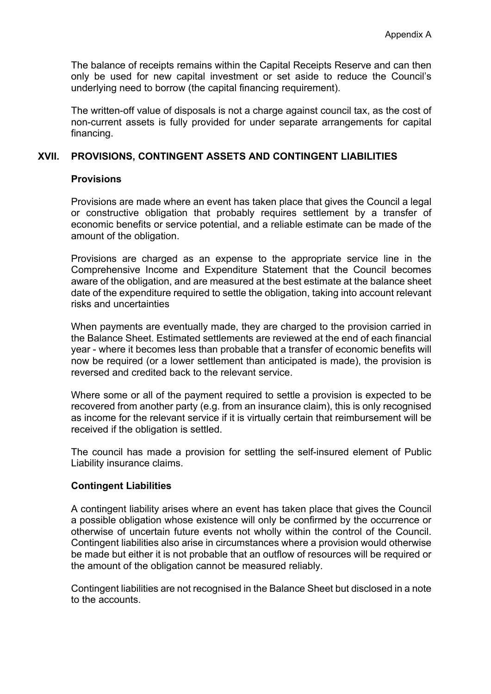The balance of receipts remains within the Capital Receipts Reserve and can then only be used for new capital investment or set aside to reduce the Council's underlying need to borrow (the capital financing requirement).

The written-off value of disposals is not a charge against council tax, as the cost of non-current assets is fully provided for under separate arrangements for capital financing.

## **XVII. PROVISIONS, CONTINGENT ASSETS AND CONTINGENT LIABILITIES**

### **Provisions**

Provisions are made where an event has taken place that gives the Council a legal or constructive obligation that probably requires settlement by a transfer of economic benefits or service potential, and a reliable estimate can be made of the amount of the obligation.

Provisions are charged as an expense to the appropriate service line in the Comprehensive Income and Expenditure Statement that the Council becomes aware of the obligation, and are measured at the best estimate at the balance sheet date of the expenditure required to settle the obligation, taking into account relevant risks and uncertainties

When payments are eventually made, they are charged to the provision carried in the Balance Sheet. Estimated settlements are reviewed at the end of each financial year - where it becomes less than probable that a transfer of economic benefits will now be required (or a lower settlement than anticipated is made), the provision is reversed and credited back to the relevant service.

Where some or all of the payment required to settle a provision is expected to be recovered from another party (e.g. from an insurance claim), this is only recognised as income for the relevant service if it is virtually certain that reimbursement will be received if the obligation is settled.

The council has made a provision for settling the self-insured element of Public Liability insurance claims.

## **Contingent Liabilities**

A contingent liability arises where an event has taken place that gives the Council a possible obligation whose existence will only be confirmed by the occurrence or otherwise of uncertain future events not wholly within the control of the Council. Contingent liabilities also arise in circumstances where a provision would otherwise be made but either it is not probable that an outflow of resources will be required or the amount of the obligation cannot be measured reliably.

Contingent liabilities are not recognised in the Balance Sheet but disclosed in a note to the accounts.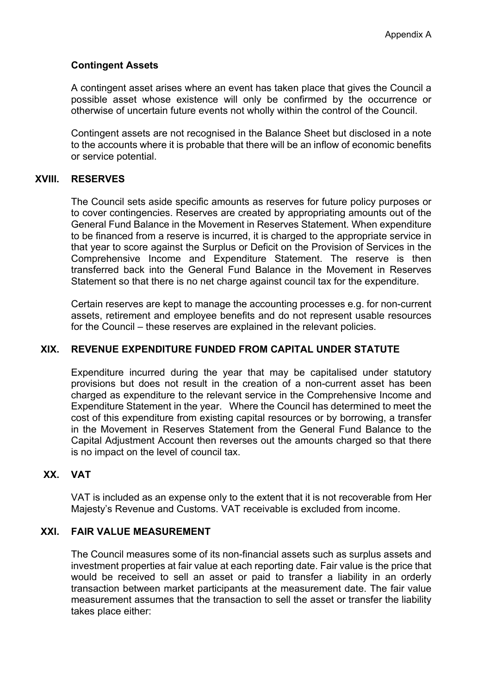# **Contingent Assets**

A contingent asset arises where an event has taken place that gives the Council a possible asset whose existence will only be confirmed by the occurrence or otherwise of uncertain future events not wholly within the control of the Council.

Contingent assets are not recognised in the Balance Sheet but disclosed in a note to the accounts where it is probable that there will be an inflow of economic benefits or service potential.

## **XVIII. RESERVES**

The Council sets aside specific amounts as reserves for future policy purposes or to cover contingencies. Reserves are created by appropriating amounts out of the General Fund Balance in the Movement in Reserves Statement. When expenditure to be financed from a reserve is incurred, it is charged to the appropriate service in that year to score against the Surplus or Deficit on the Provision of Services in the Comprehensive Income and Expenditure Statement. The reserve is then transferred back into the General Fund Balance in the Movement in Reserves Statement so that there is no net charge against council tax for the expenditure.

Certain reserves are kept to manage the accounting processes e.g. for non-current assets, retirement and employee benefits and do not represent usable resources for the Council – these reserves are explained in the relevant policies.

## **XIX. REVENUE EXPENDITURE FUNDED FROM CAPITAL UNDER STATUTE**

Expenditure incurred during the year that may be capitalised under statutory provisions but does not result in the creation of a non-current asset has been charged as expenditure to the relevant service in the Comprehensive Income and Expenditure Statement in the year. Where the Council has determined to meet the cost of this expenditure from existing capital resources or by borrowing, a transfer in the Movement in Reserves Statement from the General Fund Balance to the Capital Adjustment Account then reverses out the amounts charged so that there is no impact on the level of council tax.

# **XX. VAT**

VAT is included as an expense only to the extent that it is not recoverable from Her Majesty's Revenue and Customs. VAT receivable is excluded from income.

## **XXI. FAIR VALUE MEASUREMENT**

The Council measures some of its non-financial assets such as surplus assets and investment properties at fair value at each reporting date. Fair value is the price that would be received to sell an asset or paid to transfer a liability in an orderly transaction between market participants at the measurement date. The fair value measurement assumes that the transaction to sell the asset or transfer the liability takes place either: